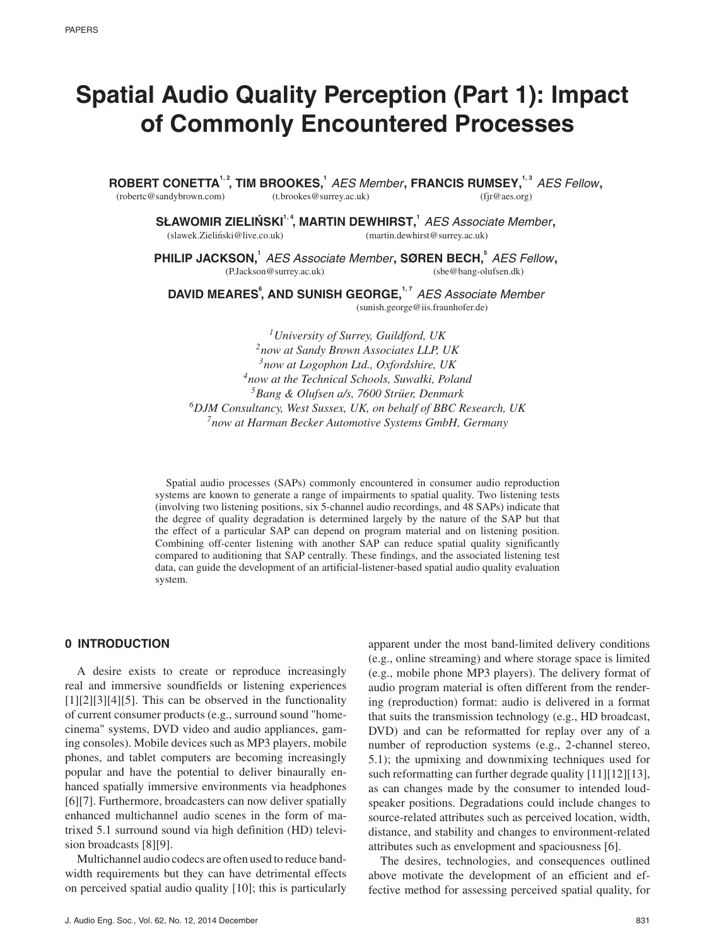# **Spatial Audio Quality Perception (Part 1): Impact of Commonly Encountered Processes**

ROBERT CONETTA<sup>1,2</sup>, TIM BROOKES,<sup>1</sup> AES Member, FRANCIS RUMSEY,<sup>1,3</sup> AES Fellow, (robertc@sandybrown.com) (t.brookes@surrey.ac.uk) (fjr@aes.org)

SŁAWOMIR ZIELIŃSKI<sup>1,4</sup>, MARTIN DEWHIRST,<sup>1</sup> AES Associate Member, (slawek.Zielinski@live.co.uk) ´ (martin.dewhirst@surrey.ac.uk)

**PHILIP JACKSON**,<sup>1</sup> AES Associate Member, SØREN BECH,<sup>5</sup> AES Fellow, (P.Jackson@surrey.ac.uk) (sbe@bang-olufsen.dk)

**DAVID MEARES<sup>6</sup> , AND SUNISH GEORGE,<sup>1</sup>***,* **<sup>7</sup>** AES Associate Member (sunish.george@iis.fraunhofer.de)

*1University of Surrey, Guildford, UK 2now at Sandy Brown Associates LLP, UK 3now at Logophon Ltd., Oxfordshire, UK 4now at the Technical Schools, Suwałki, Poland 5Bang & Olufsen a/s, 7600 Struer, Denmark ¨ 6DJM Consultancy, West Sussex, UK, on behalf of BBC Research, UK 7now at Harman Becker Automotive Systems GmbH, Germany*

Spatial audio processes (SAPs) commonly encountered in consumer audio reproduction systems are known to generate a range of impairments to spatial quality. Two listening tests (involving two listening positions, six 5-channel audio recordings, and 48 SAPs) indicate that the degree of quality degradation is determined largely by the nature of the SAP but that the effect of a particular SAP can depend on program material and on listening position. Combining off-center listening with another SAP can reduce spatial quality significantly compared to auditioning that SAP centrally. These findings, and the associated listening test data, can guide the development of an artificial-listener-based spatial audio quality evaluation system.

# **0 INTRODUCTION**

A desire exists to create or reproduce increasingly real and immersive soundfields or listening experiences  $[1][2][3][4][5]$ . This can be observed in the functionality of current consumer products (e.g., surround sound "homecinema" systems, DVD video and audio appliances, gaming consoles). Mobile devices such as MP3 players, mobile phones, and tablet computers are becoming increasingly popular and have the potential to deliver binaurally enhanced spatially immersive environments via headphones [6][7]. Furthermore, broadcasters can now deliver spatially enhanced multichannel audio scenes in the form of matrixed 5.1 surround sound via high definition (HD) television broadcasts [8][9].

Multichannel audio codecs are often used to reduce bandwidth requirements but they can have detrimental effects on perceived spatial audio quality [10]; this is particularly apparent under the most band-limited delivery conditions (e.g., online streaming) and where storage space is limited (e.g., mobile phone MP3 players). The delivery format of audio program material is often different from the rendering (reproduction) format: audio is delivered in a format that suits the transmission technology (e.g., HD broadcast, DVD) and can be reformatted for replay over any of a number of reproduction systems (e.g., 2-channel stereo, 5.1); the upmixing and downmixing techniques used for such reformatting can further degrade quality [11][12][13], as can changes made by the consumer to intended loudspeaker positions. Degradations could include changes to source-related attributes such as perceived location, width, distance, and stability and changes to environment-related attributes such as envelopment and spaciousness [6].

The desires, technologies, and consequences outlined above motivate the development of an efficient and effective method for assessing perceived spatial quality, for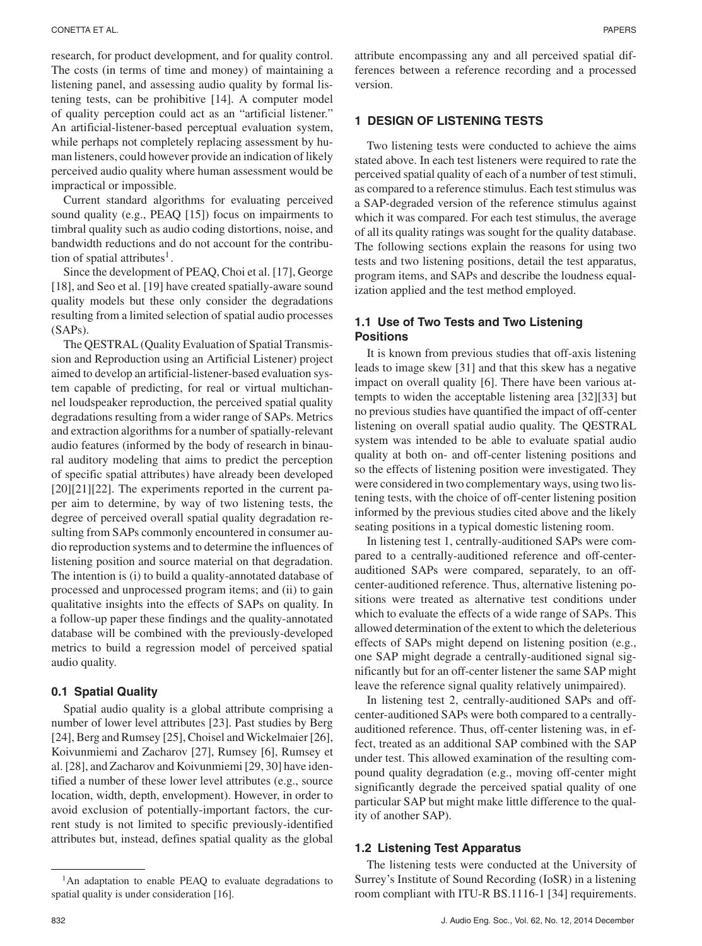research, for product development, and for quality control. The costs (in terms of time and money) of maintaining a listening panel, and assessing audio quality by formal listening tests, can be prohibitive [14]. A computer model of quality perception could act as an "artificial listener." An artificial-listener-based perceptual evaluation system, while perhaps not completely replacing assessment by human listeners, could however provide an indication of likely perceived audio quality where human assessment would be impractical or impossible.

Current standard algorithms for evaluating perceived sound quality (e.g., PEAQ [15]) focus on impairments to timbral quality such as audio coding distortions, noise, and bandwidth reductions and do not account for the contribution of spatial attributes<sup>1</sup>.

Since the development of PEAQ, Choi et al. [17], George [18], and Seo et al. [19] have created spatially-aware sound quality models but these only consider the degradations resulting from a limited selection of spatial audio processes (SAPs).

The QESTRAL (Quality Evaluation of Spatial Transmission and Reproduction using an Artificial Listener) project aimed to develop an artificial-listener-based evaluation system capable of predicting, for real or virtual multichannel loudspeaker reproduction, the perceived spatial quality degradations resulting from a wider range of SAPs. Metrics and extraction algorithms for a number of spatially-relevant audio features (informed by the body of research in binaural auditory modeling that aims to predict the perception of specific spatial attributes) have already been developed [20][21][22]. The experiments reported in the current paper aim to determine, by way of two listening tests, the degree of perceived overall spatial quality degradation resulting from SAPs commonly encountered in consumer audio reproduction systems and to determine the influences of listening position and source material on that degradation. The intention is (i) to build a quality-annotated database of processed and unprocessed program items; and (ii) to gain qualitative insights into the effects of SAPs on quality. In a follow-up paper these findings and the quality-annotated database will be combined with the previously-developed metrics to build a regression model of perceived spatial audio quality.

## **0.1 Spatial Quality**

Spatial audio quality is a global attribute comprising a number of lower level attributes [23]. Past studies by Berg [24], Berg and Rumsey [25], Choisel and Wickelmaier [26], Koivunmiemi and Zacharov [27], Rumsey [6], Rumsey et al. [28], and Zacharov and Koivunmiemi [29, 30] have identified a number of these lower level attributes (e.g., source location, width, depth, envelopment). However, in order to avoid exclusion of potentially-important factors, the current study is not limited to specific previously-identified attributes but, instead, defines spatial quality as the global attribute encompassing any and all perceived spatial differences between a reference recording and a processed version.

# **1 DESIGN OF LISTENING TESTS**

Two listening tests were conducted to achieve the aims stated above. In each test listeners were required to rate the perceived spatial quality of each of a number of test stimuli, as compared to a reference stimulus. Each test stimulus was a SAP-degraded version of the reference stimulus against which it was compared. For each test stimulus, the average of all its quality ratings was sought for the quality database. The following sections explain the reasons for using two tests and two listening positions, detail the test apparatus, program items, and SAPs and describe the loudness equalization applied and the test method employed.

# **1.1 Use of Two Tests and Two Listening Positions**

It is known from previous studies that off-axis listening leads to image skew [31] and that this skew has a negative impact on overall quality [6]. There have been various attempts to widen the acceptable listening area [32][33] but no previous studies have quantified the impact of off-center listening on overall spatial audio quality. The QESTRAL system was intended to be able to evaluate spatial audio quality at both on- and off-center listening positions and so the effects of listening position were investigated. They were considered in two complementary ways, using two listening tests, with the choice of off-center listening position informed by the previous studies cited above and the likely seating positions in a typical domestic listening room.

In listening test 1, centrally-auditioned SAPs were compared to a centrally-auditioned reference and off-centerauditioned SAPs were compared, separately, to an offcenter-auditioned reference. Thus, alternative listening positions were treated as alternative test conditions under which to evaluate the effects of a wide range of SAPs. This allowed determination of the extent to which the deleterious effects of SAPs might depend on listening position (e.g., one SAP might degrade a centrally-auditioned signal significantly but for an off-center listener the same SAP might leave the reference signal quality relatively unimpaired).

In listening test 2, centrally-auditioned SAPs and offcenter-auditioned SAPs were both compared to a centrallyauditioned reference. Thus, off-center listening was, in effect, treated as an additional SAP combined with the SAP under test. This allowed examination of the resulting compound quality degradation (e.g., moving off-center might significantly degrade the perceived spatial quality of one particular SAP but might make little difference to the quality of another SAP).

## **1.2 Listening Test Apparatus**

The listening tests were conducted at the University of Surrey's Institute of Sound Recording (IoSR) in a listening room compliant with ITU-R BS.1116-1 [34] requirements.

 $1$ An adaptation to enable PEAQ to evaluate degradations to spatial quality is under consideration [16].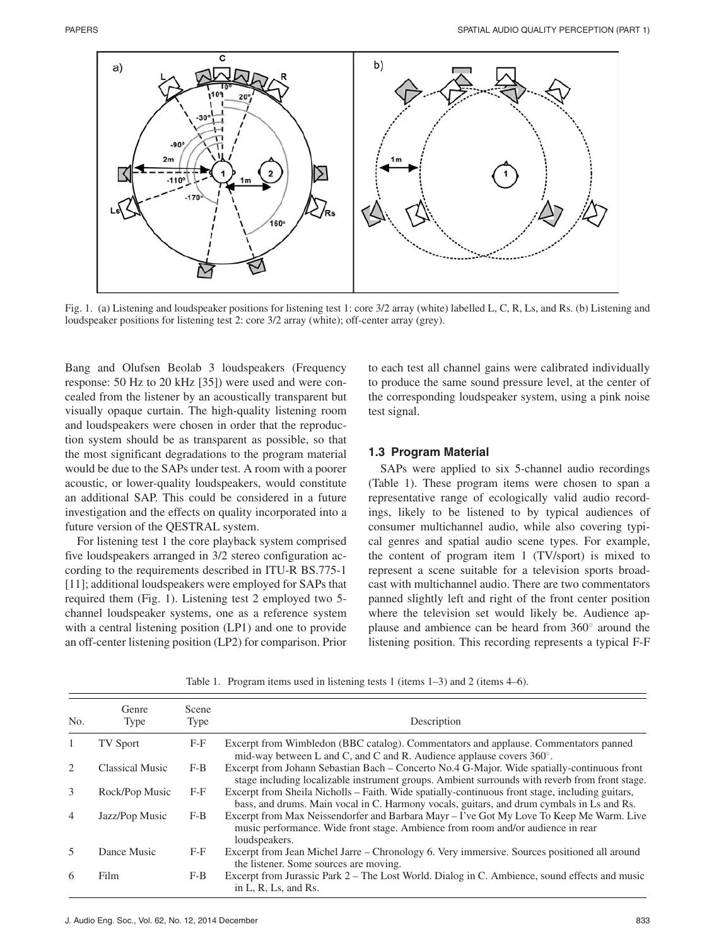

Fig. 1. (a) Listening and loudspeaker positions for listening test 1: core 3/2 array (white) labelled L, C, R, Ls, and Rs. (b) Listening and loudspeaker positions for listening test 2: core 3/2 array (white); off-center array (grey).

Bang and Olufsen Beolab 3 loudspeakers (Frequency response: 50 Hz to 20 kHz [35]) were used and were concealed from the listener by an acoustically transparent but visually opaque curtain. The high-quality listening room and loudspeakers were chosen in order that the reproduction system should be as transparent as possible, so that the most significant degradations to the program material would be due to the SAPs under test. A room with a poorer acoustic, or lower-quality loudspeakers, would constitute an additional SAP. This could be considered in a future investigation and the effects on quality incorporated into a future version of the QESTRAL system.

For listening test 1 the core playback system comprised five loudspeakers arranged in 3/2 stereo configuration according to the requirements described in ITU-R BS.775-1 [11]; additional loudspeakers were employed for SAPs that required them (Fig. 1). Listening test 2 employed two 5 channel loudspeaker systems, one as a reference system with a central listening position (LP1) and one to provide an off-center listening position (LP2) for comparison. Prior to each test all channel gains were calibrated individually to produce the same sound pressure level, at the center of the corresponding loudspeaker system, using a pink noise test signal.

# **1.3 Program Material**

SAPs were applied to six 5-channel audio recordings (Table 1). These program items were chosen to span a representative range of ecologically valid audio recordings, likely to be listened to by typical audiences of consumer multichannel audio, while also covering typical genres and spatial audio scene types. For example, the content of program item 1 (TV/sport) is mixed to represent a scene suitable for a television sports broadcast with multichannel audio. There are two commentators panned slightly left and right of the front center position where the television set would likely be. Audience applause and ambience can be heard from 360◦ around the listening position. This recording represents a typical F-F

Table 1. Program items used in listening tests 1 (items 1–3) and 2 (items 4–6).

| No.            | Genre<br>Type          | Scene<br>Type | Description                                                                                                                                                                                   |
|----------------|------------------------|---------------|-----------------------------------------------------------------------------------------------------------------------------------------------------------------------------------------------|
|                | <b>TV</b> Sport        | $F-F$         | Excerpt from Wimbledon (BBC catalog). Commentators and applause. Commentators panned<br>mid-way between L and C, and C and R. Audience applause covers $360^{\circ}$ .                        |
| 2              | <b>Classical Music</b> | $F-B$         | Excerpt from Johann Sebastian Bach – Concerto No.4 G-Major. Wide spatially-continuous front<br>stage including localizable instrument groups. Ambient surrounds with reverb from front stage. |
| 3              | Rock/Pop Music         | $F-F$         | Excerpt from Sheila Nicholls - Faith. Wide spatially-continuous front stage, including guitars,<br>bass, and drums. Main vocal in C. Harmony vocals, guitars, and drum cymbals in Ls and Rs.  |
| $\overline{4}$ | Jazz/Pop Music         | $F-B$         | Excerpt from Max Neissendorfer and Barbara Mayr – I've Got My Love To Keep Me Warm. Live<br>music performance. Wide front stage. Ambience from room and/or audience in rear<br>loudspeakers.  |
| $\sim$         | Dance Music            | $F-F$         | Excerpt from Jean Michel Jarre - Chronology 6. Very immersive. Sources positioned all around<br>the listener. Some sources are moving.                                                        |
| 6              | Film                   | $F-B$         | Excerpt from Jurassic Park 2 – The Lost World. Dialog in C. Ambience, sound effects and music<br>in L, R, Ls, and Rs.                                                                         |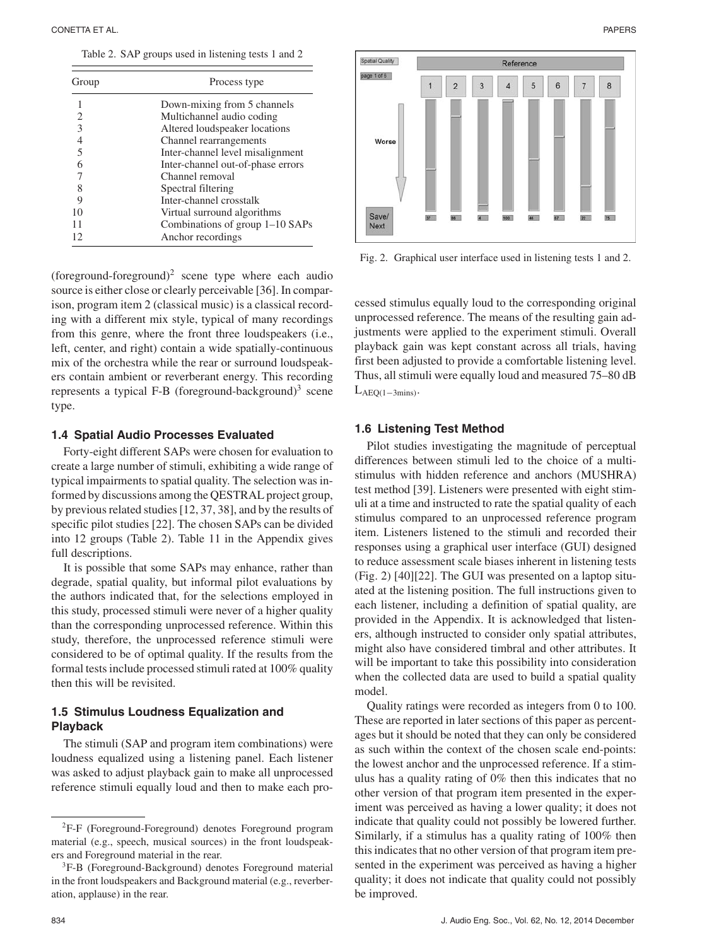Table 2. SAP groups used in listening tests 1 and 2

| Group<br>Process type |                                   |
|-----------------------|-----------------------------------|
|                       | Down-mixing from 5 channels       |
|                       | Multichannel audio coding         |
| 3                     | Altered loudspeaker locations     |
|                       | Channel rearrangements            |
| 5                     | Inter-channel level misalignment  |
| 6                     | Inter-channel out-of-phase errors |
|                       | Channel removal                   |
|                       | Spectral filtering                |
| 9                     | Inter-channel crosstalk           |
| 10                    | Virtual surround algorithms       |
|                       | Combinations of group 1–10 SAPs   |
|                       | Anchor recordings                 |

(foreground-foreground)<sup>2</sup> scene type where each audio source is either close or clearly perceivable [36]. In comparison, program item 2 (classical music) is a classical recording with a different mix style, typical of many recordings from this genre, where the front three loudspeakers (i.e., left, center, and right) contain a wide spatially-continuous mix of the orchestra while the rear or surround loudspeakers contain ambient or reverberant energy. This recording represents a typical F-B (foreground-background)<sup>3</sup> scene type.

## **1.4 Spatial Audio Processes Evaluated**

Forty-eight different SAPs were chosen for evaluation to create a large number of stimuli, exhibiting a wide range of typical impairments to spatial quality. The selection was informed by discussions among the QESTRAL project group, by previous related studies [12, 37, 38], and by the results of specific pilot studies [22]. The chosen SAPs can be divided into 12 groups (Table 2). Table 11 in the Appendix gives full descriptions.

It is possible that some SAPs may enhance, rather than degrade, spatial quality, but informal pilot evaluations by the authors indicated that, for the selections employed in this study, processed stimuli were never of a higher quality than the corresponding unprocessed reference. Within this study, therefore, the unprocessed reference stimuli were considered to be of optimal quality. If the results from the formal tests include processed stimuli rated at 100% quality then this will be revisited.

# **1.5 Stimulus Loudness Equalization and Playback**

The stimuli (SAP and program item combinations) were loudness equalized using a listening panel. Each listener was asked to adjust playback gain to make all unprocessed reference stimuli equally loud and then to make each pro-



Fig. 2. Graphical user interface used in listening tests 1 and 2.

cessed stimulus equally loud to the corresponding original unprocessed reference. The means of the resulting gain adjustments were applied to the experiment stimuli. Overall playback gain was kept constant across all trials, having first been adjusted to provide a comfortable listening level. Thus, all stimuli were equally loud and measured 75–80 dB  $L_{AEO(1-3mins)}$ .

## **1.6 Listening Test Method**

Pilot studies investigating the magnitude of perceptual differences between stimuli led to the choice of a multistimulus with hidden reference and anchors (MUSHRA) test method [39]. Listeners were presented with eight stimuli at a time and instructed to rate the spatial quality of each stimulus compared to an unprocessed reference program item. Listeners listened to the stimuli and recorded their responses using a graphical user interface (GUI) designed to reduce assessment scale biases inherent in listening tests (Fig. 2) [40][22]. The GUI was presented on a laptop situated at the listening position. The full instructions given to each listener, including a definition of spatial quality, are provided in the Appendix. It is acknowledged that listeners, although instructed to consider only spatial attributes, might also have considered timbral and other attributes. It will be important to take this possibility into consideration when the collected data are used to build a spatial quality model.

Quality ratings were recorded as integers from 0 to 100. These are reported in later sections of this paper as percentages but it should be noted that they can only be considered as such within the context of the chosen scale end-points: the lowest anchor and the unprocessed reference. If a stimulus has a quality rating of 0% then this indicates that no other version of that program item presented in the experiment was perceived as having a lower quality; it does not indicate that quality could not possibly be lowered further. Similarly, if a stimulus has a quality rating of 100% then this indicates that no other version of that program item presented in the experiment was perceived as having a higher quality; it does not indicate that quality could not possibly be improved.

<sup>2</sup>F-F (Foreground-Foreground) denotes Foreground program material (e.g., speech, musical sources) in the front loudspeakers and Foreground material in the rear.

<sup>&</sup>lt;sup>3</sup>F-B (Foreground-Background) denotes Foreground material in the front loudspeakers and Background material (e.g., reverberation, applause) in the rear.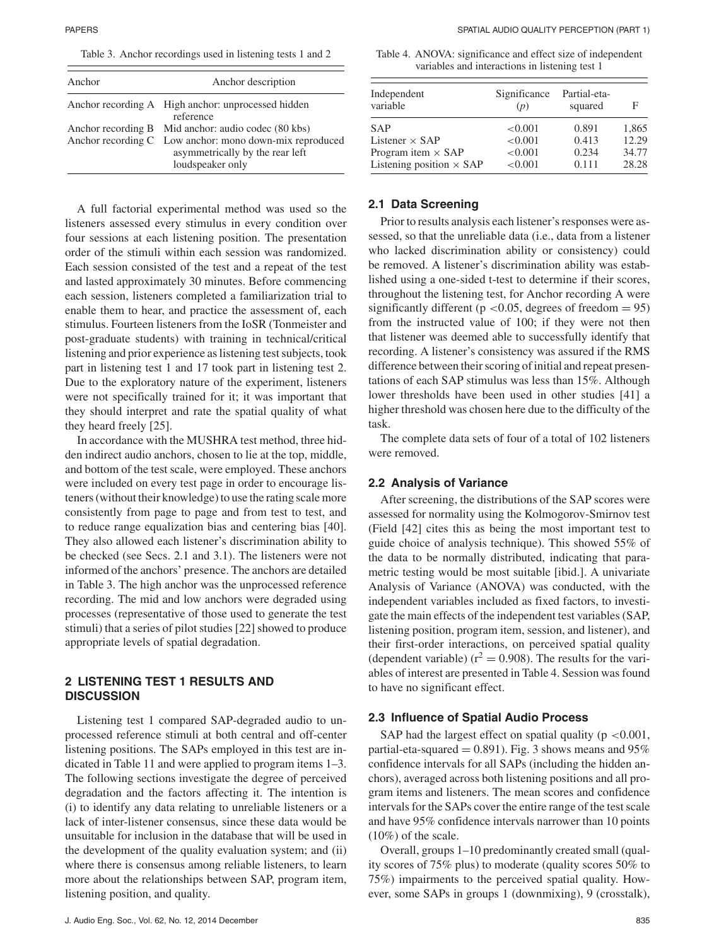Table 3. Anchor recordings used in listening tests 1 and 2

| Anchor | Anchor description                                                                                                                                                    |
|--------|-----------------------------------------------------------------------------------------------------------------------------------------------------------------------|
|        | Anchor recording A High anchor: unprocessed hidden<br>reference                                                                                                       |
|        | Anchor recording B Mid anchor: audio codec (80 kbs)<br>Anchor recording C Low anchor: mono down-mix reproduced<br>asymmetrically by the rear left<br>loudspeaker only |

A full factorial experimental method was used so the listeners assessed every stimulus in every condition over four sessions at each listening position. The presentation order of the stimuli within each session was randomized. Each session consisted of the test and a repeat of the test and lasted approximately 30 minutes. Before commencing each session, listeners completed a familiarization trial to enable them to hear, and practice the assessment of, each stimulus. Fourteen listeners from the IoSR (Tonmeister and post-graduate students) with training in technical/critical listening and prior experience as listening test subjects, took part in listening test 1 and 17 took part in listening test 2. Due to the exploratory nature of the experiment, listeners were not specifically trained for it; it was important that they should interpret and rate the spatial quality of what they heard freely [25].

In accordance with the MUSHRA test method, three hidden indirect audio anchors, chosen to lie at the top, middle, and bottom of the test scale, were employed. These anchors were included on every test page in order to encourage listeners (without their knowledge) to use the rating scale more consistently from page to page and from test to test, and to reduce range equalization bias and centering bias [40]. They also allowed each listener's discrimination ability to be checked (see Secs. 2.1 and 3.1). The listeners were not informed of the anchors' presence. The anchors are detailed in Table 3. The high anchor was the unprocessed reference recording. The mid and low anchors were degraded using processes (representative of those used to generate the test stimuli) that a series of pilot studies [22] showed to produce appropriate levels of spatial degradation.

# **2 LISTENING TEST 1 RESULTS AND DISCUSSION**

Listening test 1 compared SAP-degraded audio to unprocessed reference stimuli at both central and off-center listening positions. The SAPs employed in this test are indicated in Table 11 and were applied to program items 1–3. The following sections investigate the degree of perceived degradation and the factors affecting it. The intention is (i) to identify any data relating to unreliable listeners or a lack of inter-listener consensus, since these data would be unsuitable for inclusion in the database that will be used in the development of the quality evaluation system; and (ii) where there is consensus among reliable listeners, to learn more about the relationships between SAP, program item, listening position, and quality.

Table 4. ANOVA: significance and effect size of independent variables and interactions in listening test 1

| Independent<br>variable         | Significance<br>(p) | Partial-eta-<br>squared | F     |
|---------------------------------|---------------------|-------------------------|-------|
| <b>SAP</b>                      | < 0.001             | 0.891                   | 1,865 |
| Listener $\times$ SAP           | < 0.001             | 0.413                   | 12.29 |
| Program item $\times$ SAP       | < 0.001             | 0.234                   | 34.77 |
| Listening position $\times$ SAP | < 0.001             | 0.111                   | 28.28 |

## **2.1 Data Screening**

Prior to results analysis each listener's responses were assessed, so that the unreliable data (i.e., data from a listener who lacked discrimination ability or consistency) could be removed. A listener's discrimination ability was established using a one-sided t-test to determine if their scores, throughout the listening test, for Anchor recording A were significantly different ( $p < 0.05$ , degrees of freedom = 95) from the instructed value of 100; if they were not then that listener was deemed able to successfully identify that recording. A listener's consistency was assured if the RMS difference between their scoring of initial and repeat presentations of each SAP stimulus was less than 15%. Although lower thresholds have been used in other studies [41] a higher threshold was chosen here due to the difficulty of the task.

The complete data sets of four of a total of 102 listeners were removed.

### **2.2 Analysis of Variance**

After screening, the distributions of the SAP scores were assessed for normality using the Kolmogorov-Smirnov test (Field [42] cites this as being the most important test to guide choice of analysis technique). This showed 55% of the data to be normally distributed, indicating that parametric testing would be most suitable [ibid.]. A univariate Analysis of Variance (ANOVA) was conducted, with the independent variables included as fixed factors, to investigate the main effects of the independent test variables (SAP, listening position, program item, session, and listener), and their first-order interactions, on perceived spatial quality (dependent variable) ( $r^2 = 0.908$ ). The results for the variables of interest are presented in Table 4. Session was found to have no significant effect.

#### **2.3 Influence of Spatial Audio Process**

SAP had the largest effect on spatial quality ( $p < 0.001$ , partial-eta-squared  $= 0.891$ ). Fig. 3 shows means and 95% confidence intervals for all SAPs (including the hidden anchors), averaged across both listening positions and all program items and listeners. The mean scores and confidence intervals for the SAPs cover the entire range of the test scale and have 95% confidence intervals narrower than 10 points (10%) of the scale.

Overall, groups 1–10 predominantly created small (quality scores of 75% plus) to moderate (quality scores 50% to 75%) impairments to the perceived spatial quality. However, some SAPs in groups 1 (downmixing), 9 (crosstalk),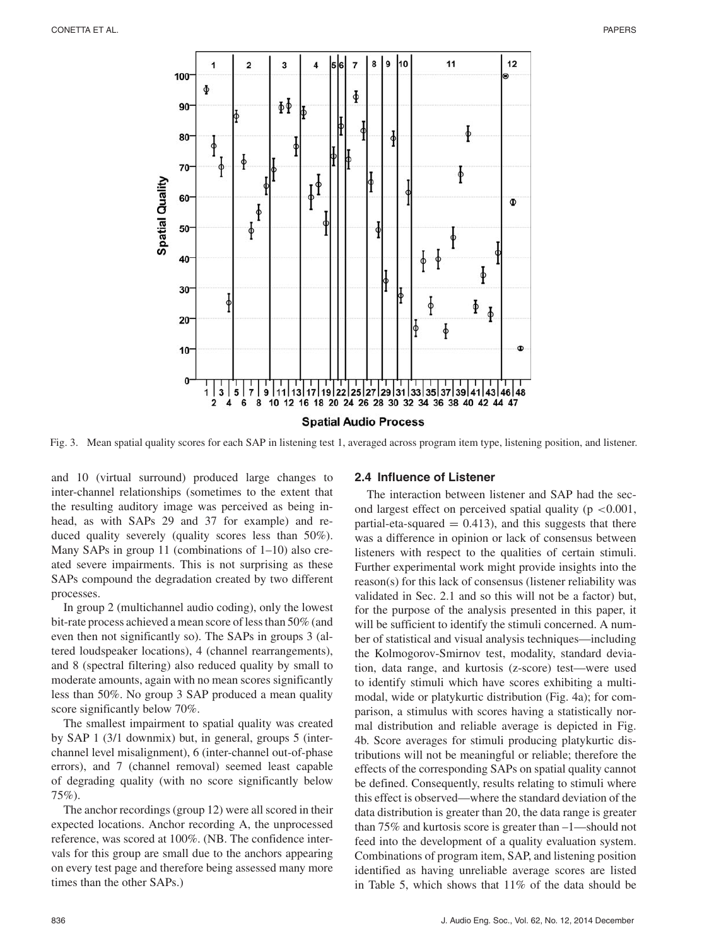

Fig. 3. Mean spatial quality scores for each SAP in listening test 1, averaged across program item type, listening position, and listener.

and 10 (virtual surround) produced large changes to inter-channel relationships (sometimes to the extent that the resulting auditory image was perceived as being inhead, as with SAPs 29 and 37 for example) and reduced quality severely (quality scores less than 50%). Many SAPs in group 11 (combinations of 1–10) also created severe impairments. This is not surprising as these SAPs compound the degradation created by two different processes.

In group 2 (multichannel audio coding), only the lowest bit-rate process achieved a mean score of less than 50% (and even then not significantly so). The SAPs in groups 3 (altered loudspeaker locations), 4 (channel rearrangements), and 8 (spectral filtering) also reduced quality by small to moderate amounts, again with no mean scores significantly less than 50%. No group 3 SAP produced a mean quality score significantly below 70%.

The smallest impairment to spatial quality was created by SAP 1 (3/1 downmix) but, in general, groups 5 (interchannel level misalignment), 6 (inter-channel out-of-phase errors), and 7 (channel removal) seemed least capable of degrading quality (with no score significantly below 75%).

The anchor recordings (group 12) were all scored in their expected locations. Anchor recording A, the unprocessed reference, was scored at 100%. (NB. The confidence intervals for this group are small due to the anchors appearing on every test page and therefore being assessed many more times than the other SAPs.)

## **2.4 Influence of Listener**

The interaction between listener and SAP had the second largest effect on perceived spatial quality ( $p < 0.001$ , partial-eta-squared  $= 0.413$ ), and this suggests that there was a difference in opinion or lack of consensus between listeners with respect to the qualities of certain stimuli. Further experimental work might provide insights into the reason(s) for this lack of consensus (listener reliability was validated in Sec. 2.1 and so this will not be a factor) but, for the purpose of the analysis presented in this paper, it will be sufficient to identify the stimuli concerned. A number of statistical and visual analysis techniques—including the Kolmogorov-Smirnov test, modality, standard deviation, data range, and kurtosis (z-score) test—were used to identify stimuli which have scores exhibiting a multimodal, wide or platykurtic distribution (Fig. 4a); for comparison, a stimulus with scores having a statistically normal distribution and reliable average is depicted in Fig. 4b. Score averages for stimuli producing platykurtic distributions will not be meaningful or reliable; therefore the effects of the corresponding SAPs on spatial quality cannot be defined. Consequently, results relating to stimuli where this effect is observed—where the standard deviation of the data distribution is greater than 20, the data range is greater than 75% and kurtosis score is greater than –1—should not feed into the development of a quality evaluation system. Combinations of program item, SAP, and listening position identified as having unreliable average scores are listed in Table 5, which shows that 11% of the data should be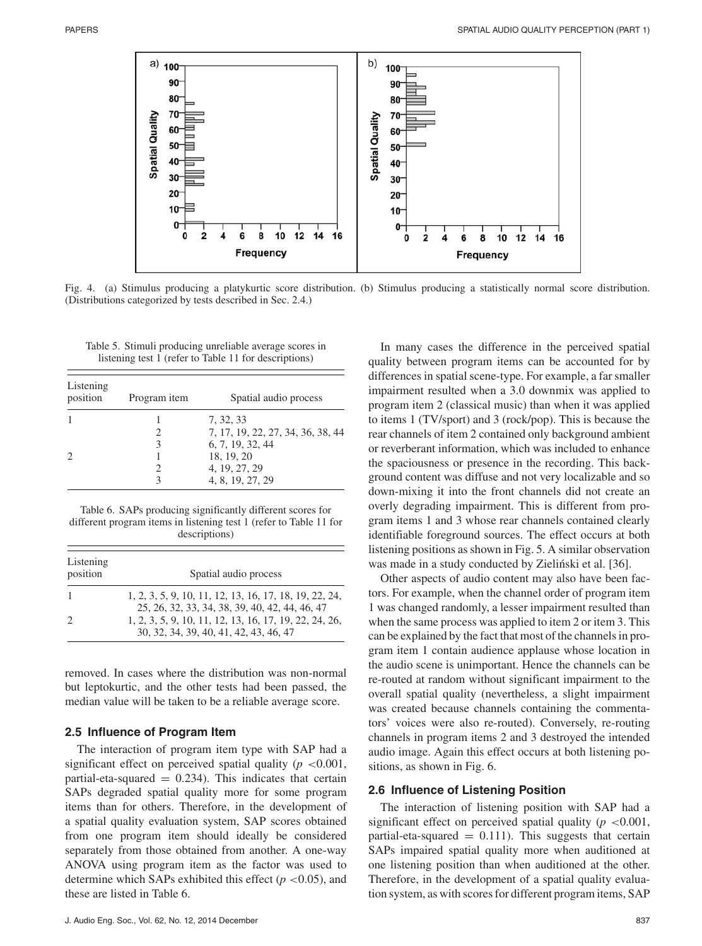

Fig. 4. (a) Stimulus producing a platykurtic score distribution. (b) Stimulus producing a statistically normal score distribution. (Distributions categorized by tests described in Sec. 2.4.)

Table 5. Stimuli producing unreliable average scores in listening test 1 (refer to Table 11 for descriptions)

| Listening<br>position       | Program <i>item</i> | Spatial audio process             |
|-----------------------------|---------------------|-----------------------------------|
|                             |                     | 7, 32, 33                         |
|                             |                     | 7, 17, 19, 22, 27, 34, 36, 38, 44 |
|                             |                     | 6, 7, 19, 32, 44                  |
| $\mathcal{D}_{\mathcal{L}}$ |                     | 18, 19, 20                        |
|                             |                     | 4, 19, 27, 29                     |
|                             |                     | 4, 8, 19, 27, 29                  |

Table 6. SAPs producing significantly different scores for different program items in listening test 1 (refer to Table 11 for descriptions)

| Listening<br>position       | Spatial audio process                                                                                    |
|-----------------------------|----------------------------------------------------------------------------------------------------------|
|                             | 1, 2, 3, 5, 9, 10, 11, 12, 13, 16, 17, 18, 19, 22, 24,                                                   |
| $\mathcal{D}_{\mathcal{L}}$ | 25, 26, 32, 33, 34, 38, 39, 40, 42, 44, 46, 47<br>1, 2, 3, 5, 9, 10, 11, 12, 13, 16, 17, 19, 22, 24, 26, |
|                             | 30, 32, 34, 39, 40, 41, 42, 43, 46, 47                                                                   |

removed. In cases where the distribution was non-normal but leptokurtic, and the other tests had been passed, the median value will be taken to be a reliable average score.

#### **2.5 Influence of Program Item**

The interaction of program item type with SAP had a significant effect on perceived spatial quality  $(p \lt 0.001,$ partial-eta-squared  $= 0.234$ . This indicates that certain SAPs degraded spatial quality more for some program items than for others. Therefore, in the development of a spatial quality evaluation system, SAP scores obtained from one program item should ideally be considered separately from those obtained from another. A one-way ANOVA using program item as the factor was used to determine which SAPs exhibited this effect  $(p < 0.05)$ , and these are listed in Table 6.

In many cases the difference in the perceived spatial quality between program items can be accounted for by differences in spatial scene-type. For example, a far smaller impairment resulted when a 3.0 downmix was applied to program item 2 (classical music) than when it was applied to items 1 (TV/sport) and 3 (rock/pop). This is because the rear channels of item 2 contained only background ambient or reverberant information, which was included to enhance the spaciousness or presence in the recording. This background content was diffuse and not very localizable and so down-mixing it into the front channels did not create an overly degrading impairment. This is different from program items 1 and 3 whose rear channels contained clearly identifiable foreground sources. The effect occurs at both listening positions as shown in Fig. 5. A similar observation was made in a study conducted by Zieliński et al. [36].

Other aspects of audio content may also have been factors. For example, when the channel order of program item 1 was changed randomly, a lesser impairment resulted than when the same process was applied to item 2 or item 3. This can be explained by the fact that most of the channels in program item 1 contain audience applause whose location in the audio scene is unimportant. Hence the channels can be re-routed at random without significant impairment to the overall spatial quality (nevertheless, a slight impairment was created because channels containing the commentators' voices were also re-routed). Conversely, re-routing channels in program items 2 and 3 destroyed the intended audio image. Again this effect occurs at both listening positions, as shown in Fig. 6.

#### **2.6 Influence of Listening Position**

The interaction of listening position with SAP had a significant effect on perceived spatial quality  $(p \lt 0.001,$ partial-eta-squared  $= 0.111$ ). This suggests that certain SAPs impaired spatial quality more when auditioned at one listening position than when auditioned at the other. Therefore, in the development of a spatial quality evaluation system, as with scores for different program items, SAP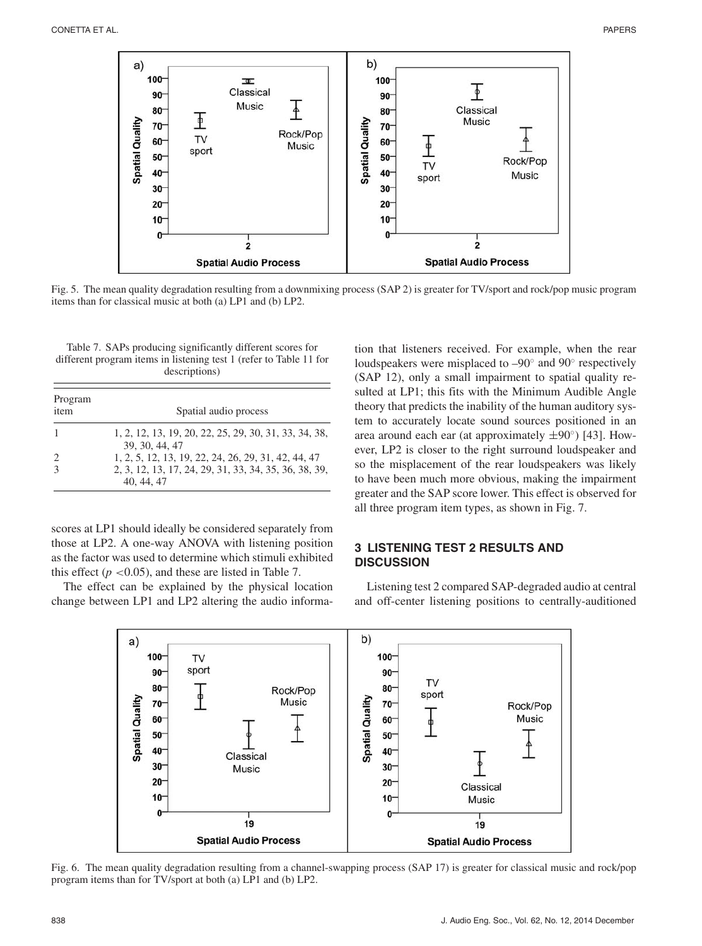

Fig. 5. The mean quality degradation resulting from a downmixing process (SAP 2) is greater for TV/sport and rock/pop music program items than for classical music at both (a) LP1 and (b) LP2.

Table 7. SAPs producing significantly different scores for different program items in listening test 1 (refer to Table 11 for descriptions)

| Program<br>item | Spatial audio process                                                   |
|-----------------|-------------------------------------------------------------------------|
|                 | 1, 2, 12, 13, 19, 20, 22, 25, 29, 30, 31, 33, 34, 38,<br>39, 30, 44, 47 |
| 2               | 1, 2, 5, 12, 13, 19, 22, 24, 26, 29, 31, 42, 44, 47                     |
|                 | 2, 3, 12, 13, 17, 24, 29, 31, 33, 34, 35, 36, 38, 39,<br>40, 44, 47     |

scores at LP1 should ideally be considered separately from those at LP2. A one-way ANOVA with listening position as the factor was used to determine which stimuli exhibited this effect  $(p < 0.05)$ , and these are listed in Table 7.

The effect can be explained by the physical location change between LP1 and LP2 altering the audio information that listeners received. For example, when the rear loudspeakers were misplaced to –90◦ and 90◦ respectively (SAP 12), only a small impairment to spatial quality resulted at LP1; this fits with the Minimum Audible Angle theory that predicts the inability of the human auditory system to accurately locate sound sources positioned in an area around each ear (at approximately  $\pm 90^\circ$ ) [43]. However, LP2 is closer to the right surround loudspeaker and so the misplacement of the rear loudspeakers was likely to have been much more obvious, making the impairment greater and the SAP score lower. This effect is observed for all three program item types, as shown in Fig. 7.

# **3 LISTENING TEST 2 RESULTS AND DISCUSSION**

Listening test 2 compared SAP-degraded audio at central and off-center listening positions to centrally-auditioned



Fig. 6. The mean quality degradation resulting from a channel-swapping process (SAP 17) is greater for classical music and rock/pop program items than for TV/sport at both (a) LP1 and (b) LP2.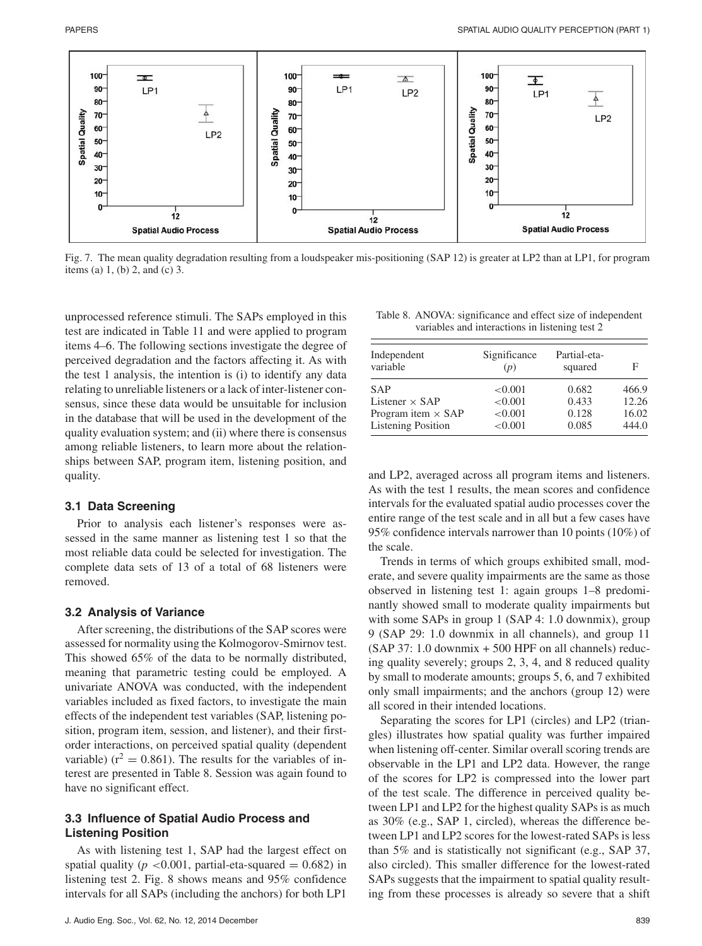

Fig. 7. The mean quality degradation resulting from a loudspeaker mis-positioning (SAP 12) is greater at LP2 than at LP1, for program items (a) 1, (b) 2, and (c) 3.

unprocessed reference stimuli. The SAPs employed in this test are indicated in Table 11 and were applied to program items 4–6. The following sections investigate the degree of perceived degradation and the factors affecting it. As with the test 1 analysis, the intention is (i) to identify any data relating to unreliable listeners or a lack of inter-listener consensus, since these data would be unsuitable for inclusion in the database that will be used in the development of the quality evaluation system; and (ii) where there is consensus among reliable listeners, to learn more about the relationships between SAP, program item, listening position, and quality.

#### **3.1 Data Screening**

Prior to analysis each listener's responses were assessed in the same manner as listening test 1 so that the most reliable data could be selected for investigation. The complete data sets of 13 of a total of 68 listeners were removed.

#### **3.2 Analysis of Variance**

After screening, the distributions of the SAP scores were assessed for normality using the Kolmogorov-Smirnov test. This showed 65% of the data to be normally distributed, meaning that parametric testing could be employed. A univariate ANOVA was conducted, with the independent variables included as fixed factors, to investigate the main effects of the independent test variables (SAP, listening position, program item, session, and listener), and their firstorder interactions, on perceived spatial quality (dependent variable) ( $r^2 = 0.861$ ). The results for the variables of interest are presented in Table 8. Session was again found to have no significant effect.

## **3.3 Influence of Spatial Audio Process and Listening Position**

As with listening test 1, SAP had the largest effect on spatial quality ( $p < 0.001$ , partial-eta-squared = 0.682) in listening test 2. Fig. 8 shows means and 95% confidence intervals for all SAPs (including the anchors) for both LP1

| Table 8. ANOVA: significance and effect size of independent |
|-------------------------------------------------------------|
| variables and interactions in listening test 2              |

| Independent<br>variable   | Significance<br>(p) | Partial-eta-<br>squared | F     |
|---------------------------|---------------------|-------------------------|-------|
| SAP                       | < 0.001             | 0.682                   | 466.9 |
| Listener $\times$ SAP     | < 0.001             | 0.433                   | 12.26 |
| Program item $\times$ SAP | < 0.001             | 0.128                   | 16.02 |
| <b>Listening Position</b> | < 0.001             | 0.085                   | 444.0 |

and LP2, averaged across all program items and listeners. As with the test 1 results, the mean scores and confidence intervals for the evaluated spatial audio processes cover the entire range of the test scale and in all but a few cases have 95% confidence intervals narrower than 10 points (10%) of the scale.

Trends in terms of which groups exhibited small, moderate, and severe quality impairments are the same as those observed in listening test 1: again groups 1–8 predominantly showed small to moderate quality impairments but with some SAPs in group 1 (SAP 4: 1.0 downmix), group 9 (SAP 29: 1.0 downmix in all channels), and group 11 (SAP 37: 1.0 downmix + 500 HPF on all channels) reducing quality severely; groups 2, 3, 4, and 8 reduced quality by small to moderate amounts; groups 5, 6, and 7 exhibited only small impairments; and the anchors (group 12) were all scored in their intended locations.

Separating the scores for LP1 (circles) and LP2 (triangles) illustrates how spatial quality was further impaired when listening off-center. Similar overall scoring trends are observable in the LP1 and LP2 data. However, the range of the scores for LP2 is compressed into the lower part of the test scale. The difference in perceived quality between LP1 and LP2 for the highest quality SAPs is as much as 30% (e.g., SAP 1, circled), whereas the difference between LP1 and LP2 scores for the lowest-rated SAPs is less than 5% and is statistically not significant (e.g., SAP 37, also circled). This smaller difference for the lowest-rated SAPs suggests that the impairment to spatial quality resulting from these processes is already so severe that a shift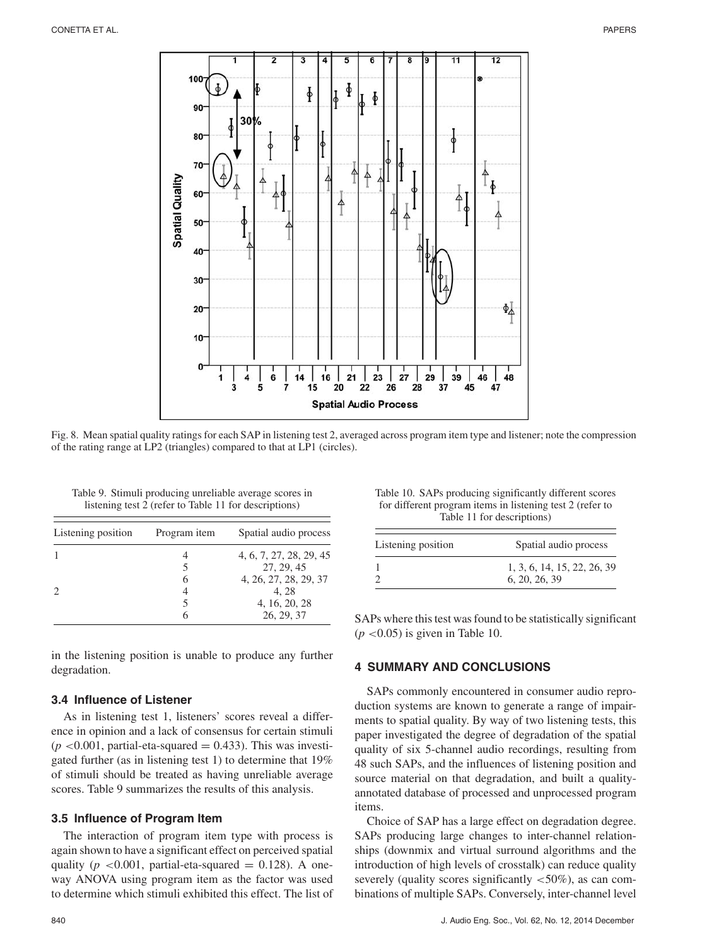

Fig. 8. Mean spatial quality ratings for each SAP in listening test 2, averaged across program item type and listener; note the compression of the rating range at LP2 (triangles) compared to that at LP1 (circles).

| Listening position | Program <i>item</i> | Spatial audio process   |
|--------------------|---------------------|-------------------------|
|                    |                     | 4, 6, 7, 27, 28, 29, 45 |
|                    |                     | 27, 29, 45              |
|                    |                     | 4, 26, 27, 28, 29, 37   |
|                    |                     | 4.28                    |
|                    |                     | 4, 16, 20, 28           |
|                    |                     | 26, 29, 37              |

Table 9. Stimuli producing unreliable average scores in listening test 2 (refer to Table 11 for descriptions)

in the listening position is unable to produce any further degradation.

## **3.4 Influence of Listener**

As in listening test 1, listeners' scores reveal a difference in opinion and a lack of consensus for certain stimuli  $(p \lt 0.001,$  partial-eta-squared = 0.433). This was investigated further (as in listening test 1) to determine that 19% of stimuli should be treated as having unreliable average scores. Table 9 summarizes the results of this analysis.

## **3.5 Influence of Program Item**

The interaction of program item type with process is again shown to have a significant effect on perceived spatial quality ( $p < 0.001$ , partial-eta-squared = 0.128). A oneway ANOVA using program item as the factor was used to determine which stimuli exhibited this effect. The list of

Table 10. SAPs producing significantly different scores for different program items in listening test 2 (refer to Table 11 for descriptions)

| Listening position | Spatial audio process       |
|--------------------|-----------------------------|
|                    | 1, 3, 6, 14, 15, 22, 26, 39 |
|                    | 6, 20, 26, 39               |

SAPs where this test was found to be statistically significant (*p* <0.05) is given in Table 10.

## **4 SUMMARY AND CONCLUSIONS**

SAPs commonly encountered in consumer audio reproduction systems are known to generate a range of impairments to spatial quality. By way of two listening tests, this paper investigated the degree of degradation of the spatial quality of six 5-channel audio recordings, resulting from 48 such SAPs, and the influences of listening position and source material on that degradation, and built a qualityannotated database of processed and unprocessed program items.

Choice of SAP has a large effect on degradation degree. SAPs producing large changes to inter-channel relationships (downmix and virtual surround algorithms and the introduction of high levels of crosstalk) can reduce quality severely (quality scores significantly  $\langle 50\% \rangle$ , as can combinations of multiple SAPs. Conversely, inter-channel level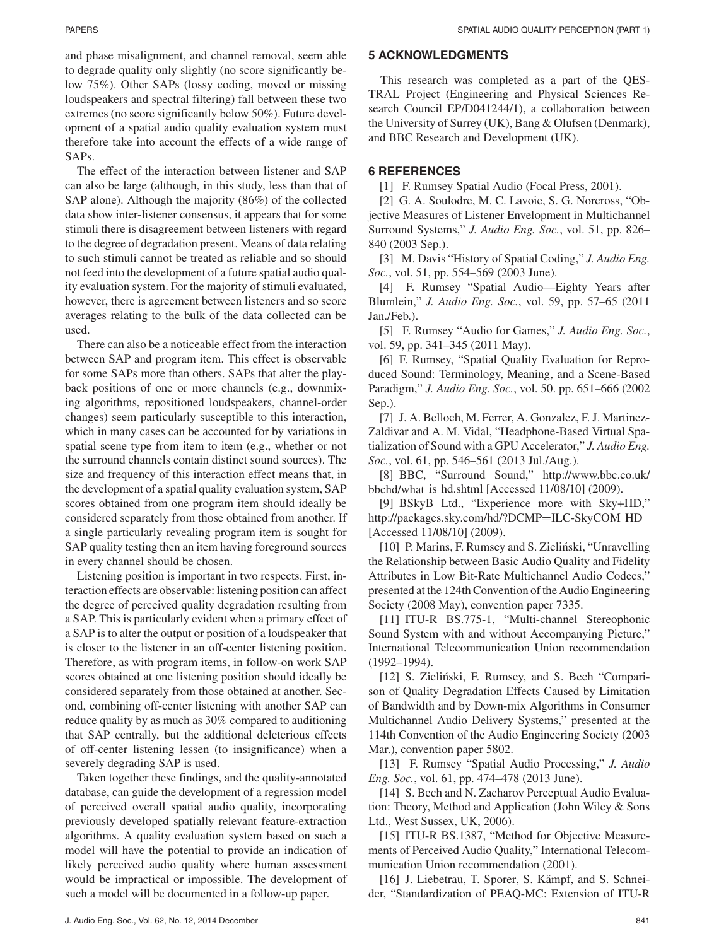The effect of the interaction between listener and SAP can also be large (although, in this study, less than that of SAP alone). Although the majority (86%) of the collected data show inter-listener consensus, it appears that for some stimuli there is disagreement between listeners with regard to the degree of degradation present. Means of data relating to such stimuli cannot be treated as reliable and so should not feed into the development of a future spatial audio quality evaluation system. For the majority of stimuli evaluated, however, there is agreement between listeners and so score averages relating to the bulk of the data collected can be used.

There can also be a noticeable effect from the interaction between SAP and program item. This effect is observable for some SAPs more than others. SAPs that alter the playback positions of one or more channels (e.g., downmixing algorithms, repositioned loudspeakers, channel-order changes) seem particularly susceptible to this interaction, which in many cases can be accounted for by variations in spatial scene type from item to item (e.g., whether or not the surround channels contain distinct sound sources). The size and frequency of this interaction effect means that, in the development of a spatial quality evaluation system, SAP scores obtained from one program item should ideally be considered separately from those obtained from another. If a single particularly revealing program item is sought for SAP quality testing then an item having foreground sources in every channel should be chosen.

Listening position is important in two respects. First, interaction effects are observable: listening position can affect the degree of perceived quality degradation resulting from a SAP. This is particularly evident when a primary effect of a SAP is to alter the output or position of a loudspeaker that is closer to the listener in an off-center listening position. Therefore, as with program items, in follow-on work SAP scores obtained at one listening position should ideally be considered separately from those obtained at another. Second, combining off-center listening with another SAP can reduce quality by as much as 30% compared to auditioning that SAP centrally, but the additional deleterious effects of off-center listening lessen (to insignificance) when a severely degrading SAP is used.

Taken together these findings, and the quality-annotated database, can guide the development of a regression model of perceived overall spatial audio quality, incorporating previously developed spatially relevant feature-extraction algorithms. A quality evaluation system based on such a model will have the potential to provide an indication of likely perceived audio quality where human assessment would be impractical or impossible. The development of such a model will be documented in a follow-up paper.

# **5 ACKNOWLEDGMENTS**

This research was completed as a part of the QES-TRAL Project (Engineering and Physical Sciences Research Council EP/D041244/1), a collaboration between the University of Surrey (UK), Bang & Olufsen (Denmark), and BBC Research and Development (UK).

# **6 REFERENCES**

[1] F. Rumsey Spatial Audio (Focal Press, 2001).

[2] G. A. Soulodre, M. C. Lavoie, S. G. Norcross, "Objective Measures of Listener Envelopment in Multichannel Surround Systems," *J. Audio Eng. Soc.*, vol. 51, pp. 826– 840 (2003 Sep.).

[3] M. Davis "History of Spatial Coding," *J. Audio Eng. Soc.*, vol. 51, pp. 554–569 (2003 June).

[4] F. Rumsey "Spatial Audio—Eighty Years after Blumlein," *J. Audio Eng. Soc.*, vol. 59, pp. 57–65 (2011 Jan./Feb.).

[5] F. Rumsey "Audio for Games," *J. Audio Eng. Soc.*, vol. 59, pp. 341–345 (2011 May).

[6] F. Rumsey, "Spatial Quality Evaluation for Reproduced Sound: Terminology, Meaning, and a Scene-Based Paradigm," *J. Audio Eng. Soc.*, vol. 50. pp. 651–666 (2002 Sep.).

[7] J. A. Belloch, M. Ferrer, A. Gonzalez, F. J. Martinez-Zaldivar and A. M. Vidal, "Headphone-Based Virtual Spatialization of Sound with a GPU Accelerator," *J. Audio Eng. Soc.*, vol. 61, pp. 546–561 (2013 Jul./Aug.).

[8] BBC, "Surround Sound," http://www.bbc.co.uk/ bbchd/what is hd.shtml [Accessed 11/08/10] (2009).

[9] BSkyB Ltd., "Experience more with Sky+HD," http://packages.sky.com/hd/?DCMP=ILC-SkyCOM HD [Accessed 11/08/10] (2009).

[10] P. Marins, F. Rumsey and S. Zieliński, "Unravelling" the Relationship between Basic Audio Quality and Fidelity Attributes in Low Bit-Rate Multichannel Audio Codecs," presented at the 124th Convention of the Audio Engineering Society (2008 May), convention paper 7335.

[11] ITU-R BS.775-1, "Multi-channel Stereophonic Sound System with and without Accompanying Picture," International Telecommunication Union recommendation (1992–1994).

[12] S. Zieliński, F. Rumsey, and S. Bech "Comparison of Quality Degradation Effects Caused by Limitation of Bandwidth and by Down-mix Algorithms in Consumer Multichannel Audio Delivery Systems," presented at the 114th Convention of the Audio Engineering Society (2003 Mar.), convention paper 5802.

[13] F. Rumsey "Spatial Audio Processing," *J. Audio Eng. Soc.*, vol. 61, pp. 474–478 (2013 June).

[14] S. Bech and N. Zacharov Perceptual Audio Evaluation: Theory, Method and Application (John Wiley & Sons Ltd., West Sussex, UK, 2006).

[15] ITU-R BS.1387, "Method for Objective Measurements of Perceived Audio Quality," International Telecommunication Union recommendation (2001).

[16] J. Liebetrau, T. Sporer, S. Kämpf, and S. Schneider, "Standardization of PEAQ-MC: Extension of ITU-R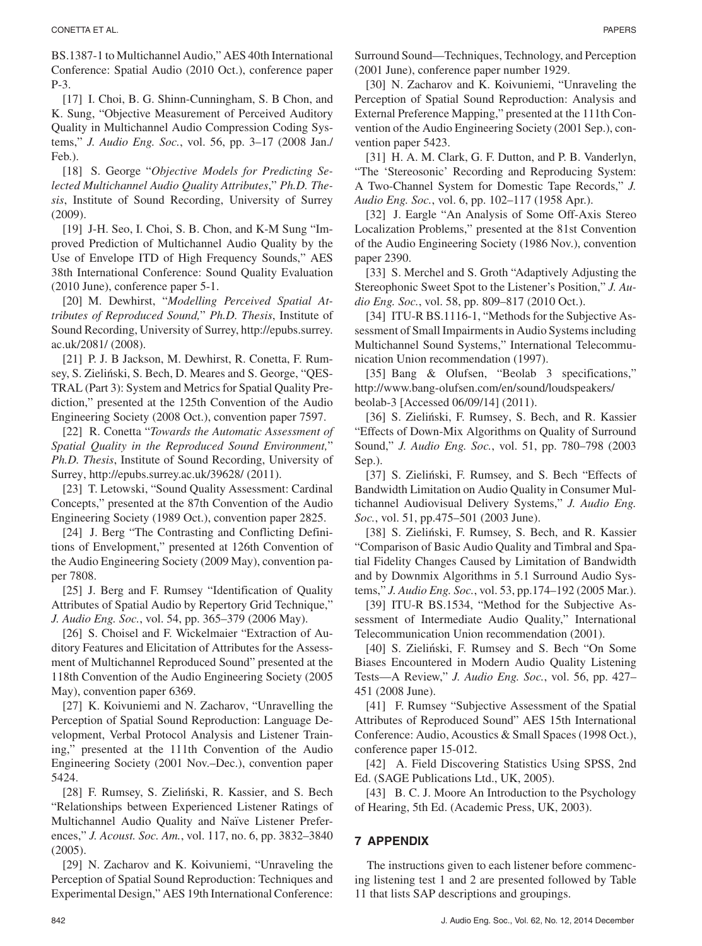BS.1387-1 to Multichannel Audio," AES 40th International Conference: Spatial Audio (2010 Oct.), conference paper P-3.

[17] I. Choi, B. G. Shinn-Cunningham, S. B Chon, and K. Sung, "Objective Measurement of Perceived Auditory Quality in Multichannel Audio Compression Coding Systems," *J. Audio Eng. Soc.*, vol. 56, pp. 3–17 (2008 Jan./ Feb.).

[18] S. George "Objective Models for Predicting Se*lected Multichannel Audio Quality Attributes*," *Ph.D. Thesis*, Institute of Sound Recording, University of Surrey (2009).

[19] J-H. Seo, I. Choi, S. B. Chon, and K-M Sung "Improved Prediction of Multichannel Audio Quality by the Use of Envelope ITD of High Frequency Sounds," AES 38th International Conference: Sound Quality Evaluation (2010 June), conference paper 5-1.

[20] M. Dewhirst, "*Modelling Perceived Spatial Attributes of Reproduced Sound,*" *Ph.D. Thesis*, Institute of Sound Recording, University of Surrey, http://epubs.surrey. ac.uk/2081/ (2008).

[21] P. J. B Jackson, M. Dewhirst, R. Conetta, F. Rumsey, S. Zieliński, S. Bech, D. Meares and S. George, "QES-TRAL (Part 3): System and Metrics for Spatial Quality Prediction," presented at the 125th Convention of the Audio Engineering Society (2008 Oct.), convention paper 7597.

[22] R. Conetta "*Towards the Automatic Assessment of Spatial Quality in the Reproduced Sound Environment,*" *Ph.D. Thesis*, Institute of Sound Recording, University of Surrey, http://epubs.surrey.ac.uk/39628/ (2011).

[23] T. Letowski, "Sound Quality Assessment: Cardinal Concepts," presented at the 87th Convention of the Audio Engineering Society (1989 Oct.), convention paper 2825.

[24] J. Berg "The Contrasting and Conflicting Definitions of Envelopment," presented at 126th Convention of the Audio Engineering Society (2009 May), convention paper 7808.

[25] J. Berg and F. Rumsey "Identification of Quality Attributes of Spatial Audio by Repertory Grid Technique," *J. Audio Eng. Soc.*, vol. 54, pp. 365–379 (2006 May).

[26] S. Choisel and F. Wickelmaier "Extraction of Auditory Features and Elicitation of Attributes for the Assessment of Multichannel Reproduced Sound" presented at the 118th Convention of the Audio Engineering Society (2005 May), convention paper 6369.

[27] K. Koivuniemi and N. Zacharov, "Unravelling the Perception of Spatial Sound Reproduction: Language Development, Verbal Protocol Analysis and Listener Training," presented at the 111th Convention of the Audio Engineering Society (2001 Nov.–Dec.), convention paper 5424.

[28] F. Rumsey, S. Zieliński, R. Kassier, and S. Bech "Relationships between Experienced Listener Ratings of Multichannel Audio Quality and Naïve Listener Preferences," *J. Acoust. Soc. Am.*, vol. 117, no. 6, pp. 3832–3840 (2005).

[29] N. Zacharov and K. Koivuniemi, "Unraveling the Perception of Spatial Sound Reproduction: Techniques and Experimental Design," AES 19th International Conference: Surround Sound—Techniques, Technology, and Perception (2001 June), conference paper number 1929.

[30] N. Zacharov and K. Koivuniemi, "Unraveling the Perception of Spatial Sound Reproduction: Analysis and External Preference Mapping," presented at the 111th Convention of the Audio Engineering Society (2001 Sep.), convention paper 5423.

[31] H. A. M. Clark, G. F. Dutton, and P. B. Vanderlyn, "The 'Stereosonic' Recording and Reproducing System: A Two-Channel System for Domestic Tape Records," *J. Audio Eng. Soc.*, vol. 6, pp. 102–117 (1958 Apr.).

[32] J. Eargle "An Analysis of Some Off-Axis Stereo Localization Problems," presented at the 81st Convention of the Audio Engineering Society (1986 Nov.), convention paper 2390.

[33] S. Merchel and S. Groth "Adaptively Adjusting the Stereophonic Sweet Spot to the Listener's Position," *J. Audio Eng. Soc.*, vol. 58, pp. 809–817 (2010 Oct.).

[34] ITU-R BS.1116-1, "Methods for the Subjective Assessment of Small Impairments in Audio Systems including Multichannel Sound Systems," International Telecommunication Union recommendation (1997).

[35] Bang & Olufsen, "Beolab 3 specifications," http://www.bang-olufsen.com/en/sound/loudspeakers/ beolab-3 [Accessed 06/09/14] (2011).

[36] S. Zieliński, F. Rumsey, S. Bech, and R. Kassier "Effects of Down-Mix Algorithms on Quality of Surround Sound," *J. Audio Eng. Soc.*, vol. 51, pp. 780–798 (2003 Sep.).

[37] S. Zieliński, F. Rumsey, and S. Bech "Effects of Bandwidth Limitation on Audio Quality in Consumer Multichannel Audiovisual Delivery Systems," *J. Audio Eng. Soc.*, vol. 51, pp.475–501 (2003 June).

[38] S. Zieliński, F. Rumsey, S. Bech, and R. Kassier "Comparison of Basic Audio Quality and Timbral and Spatial Fidelity Changes Caused by Limitation of Bandwidth and by Downmix Algorithms in 5.1 Surround Audio Systems," *J. Audio Eng. Soc.*, vol. 53, pp.174–192 (2005 Mar.).

[39] ITU-R BS.1534, "Method for the Subjective Assessment of Intermediate Audio Quality," International Telecommunication Union recommendation (2001).

[40] S. Zieliński, F. Rumsey and S. Bech "On Some Biases Encountered in Modern Audio Quality Listening Tests—A Review," *J. Audio Eng. Soc.*, vol. 56, pp. 427– 451 (2008 June).

[41] F. Rumsey "Subjective Assessment of the Spatial Attributes of Reproduced Sound" AES 15th International Conference: Audio, Acoustics & Small Spaces (1998 Oct.), conference paper 15-012.

[42] A. Field Discovering Statistics Using SPSS, 2nd Ed. (SAGE Publications Ltd., UK, 2005).

[43] B. C. J. Moore An Introduction to the Psychology of Hearing, 5th Ed. (Academic Press, UK, 2003).

# **7 APPENDIX**

The instructions given to each listener before commencing listening test 1 and 2 are presented followed by Table 11 that lists SAP descriptions and groupings.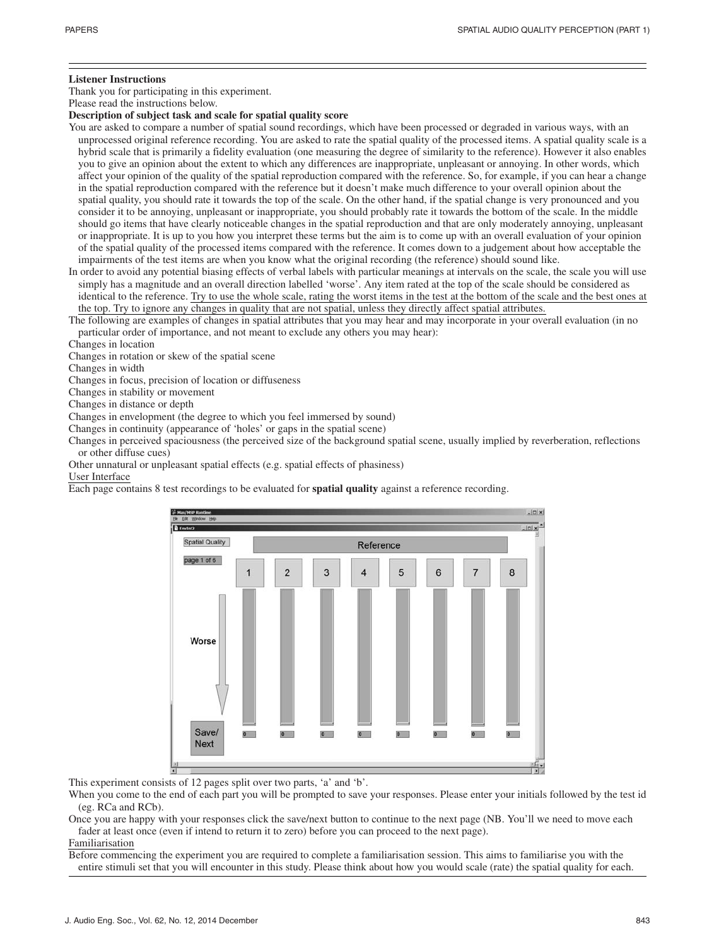## **Listener Instructions**

Thank you for participating in this experiment. Please read the instructions below.

### **Description of subject task and scale for spatial quality score**

You are asked to compare a number of spatial sound recordings, which have been processed or degraded in various ways, with an unprocessed original reference recording. You are asked to rate the spatial quality of the processed items. A spatial quality scale is a hybrid scale that is primarily a fidelity evaluation (one measuring the degree of similarity to the reference). However it also enables you to give an opinion about the extent to which any differences are inappropriate, unpleasant or annoying. In other words, which affect your opinion of the quality of the spatial reproduction compared with the reference. So, for example, if you can hear a change in the spatial reproduction compared with the reference but it doesn't make much difference to your overall opinion about the spatial quality, you should rate it towards the top of the scale. On the other hand, if the spatial change is very pronounced and you consider it to be annoying, unpleasant or inappropriate, you should probably rate it towards the bottom of the scale. In the middle should go items that have clearly noticeable changes in the spatial reproduction and that are only moderately annoying, unpleasant or inappropriate. It is up to you how you interpret these terms but the aim is to come up with an overall evaluation of your opinion of the spatial quality of the processed items compared with the reference. It comes down to a judgement about how acceptable the impairments of the test items are when you know what the original recording (the reference) should sound like.

In order to avoid any potential biasing effects of verbal labels with particular meanings at intervals on the scale, the scale you will use simply has a magnitude and an overall direction labelled 'worse'. Any item rated at the top of the scale should be considered as identical to the reference. Try to use the whole scale, rating the worst items in the test at the bottom of the scale and the best ones at the top. Try to ignore any changes in quality that are not spatial, unless they directly affect spatial attributes.

The following are examples of changes in spatial attributes that you may hear and may incorporate in your overall evaluation (in no particular order of importance, and not meant to exclude any others you may hear):

Changes in location

Changes in rotation or skew of the spatial scene

Changes in width

Changes in focus, precision of location or diffuseness

Changes in stability or movement

Changes in distance or depth

Changes in envelopment (the degree to which you feel immersed by sound)

Changes in continuity (appearance of 'holes' or gaps in the spatial scene)

Changes in perceived spaciousness (the perceived size of the background spatial scene, usually implied by reverberation, reflections or other diffuse cues)

Other unnatural or unpleasant spatial effects (e.g. spatial effects of phasiness)

User Interface

Each page contains 8 test recordings to be evaluated for **spatial quality** against a reference recording.



This experiment consists of 12 pages split over two parts, 'a' and 'b'.

When you come to the end of each part you will be prompted to save your responses. Please enter your initials followed by the test id (eg. RCa and RCb).

Once you are happy with your responses click the save/next button to continue to the next page (NB. You'll we need to move each fader at least once (even if intend to return it to zero) before you can proceed to the next page).

#### Familiarisation

Before commencing the experiment you are required to complete a familiarisation session. This aims to familiarise you with the entire stimuli set that you will encounter in this study. Please think about how you would scale (rate) the spatial quality for each.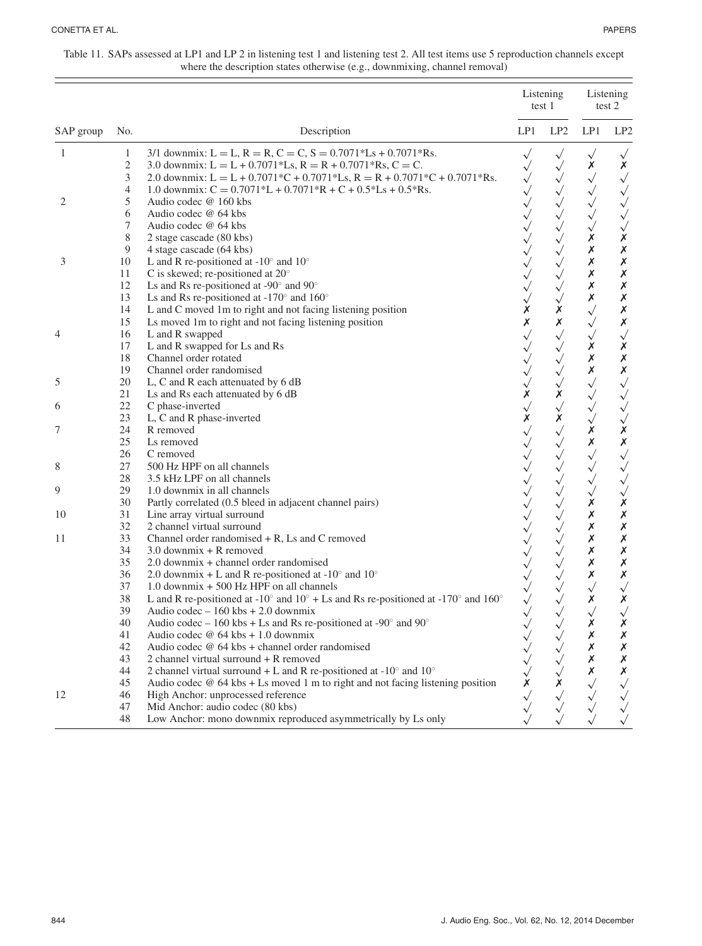|              |     |                                                                                        | Listening<br>test 1                       |                    | Listening<br>test 2       |                                  |
|--------------|-----|----------------------------------------------------------------------------------------|-------------------------------------------|--------------------|---------------------------|----------------------------------|
| SAP group    | No. | Description                                                                            | LP1                                       | LP2                | LP1                       | LP <sub>2</sub>                  |
| $\mathbf{1}$ | 1   | 3/1 downmix: L = L, R = R, C = C, S = $0.7071*$ Ls + $0.7071*$ Rs.                     | $\sqrt{}$                                 | $\sqrt{}$          | $\sqrt{ }$                |                                  |
|              | 2   | 3.0 downmix: L = L + 0.7071*Ls, R = R + 0.7071*Rs, C = C.                              | $\sqrt{}$                                 | $\sqrt{}$          | $\boldsymbol{\mathsf{x}}$ | $\dot{x}$                        |
|              | 3   | 2.0 downmix: L = L + 0.7071*C + 0.7071*Ls, R = R + 0.7071*C + 0.7071*Rs.               | $\sqrt{}$                                 | $\sqrt{}$          | $\sqrt{}$                 |                                  |
|              | 4   | 1.0 downmix: $C = 0.7071*L + 0.7071*R + C + 0.5*Ls + 0.5*Rs.$                          | $\sqrt{}$                                 | $\sqrt{}$          | $\sqrt{ }$                | $\sqrt[3]{}$                     |
| 2            | 5   | Audio codec @ 160 kbs                                                                  | $\sqrt{}$                                 | $\sqrt{}$          | $\sqrt{}$                 | $\sqrt{}$                        |
|              | 6   | Audio codec @ 64 kbs                                                                   | $\sqrt{}$                                 | $\sqrt{}$          | $\sqrt{ }$                | $\sqrt{}$                        |
|              | 7   | Audio codec @ 64 kbs                                                                   | $\checkmark$                              | $\sqrt{}$          | $\sqrt{2}$                | $\frac{1}{x}$                    |
|              | 8   | 2 stage cascade (80 kbs)                                                               |                                           | $\sqrt{}$          | $\pmb{\mathsf{x}}$        |                                  |
|              | 9   | 4 stage cascade (64 kbs)                                                               | $\sqrt{}$                                 | $\checkmark$       | $\pmb{\mathsf{x}}$        | $\pmb{\mathsf{x}}$               |
| 3            | 10  | L and R re-positioned at -10 $^{\circ}$ and 10 $^{\circ}$                              | $\checkmark$                              | $\checkmark$       | $\pmb{\mathsf{x}}$        | $\frac{x}{x}$                    |
|              | 11  | C is skewed; re-positioned at $20^{\circ}$                                             |                                           | $\sqrt{}$          | $\pmb{\mathsf{x}}$        |                                  |
|              | 12  | Ls and Rs re-positioned at -90 $^{\circ}$ and 90 $^{\circ}$                            | $\sqrt{}$                                 | $\sqrt{}$          | $\pmb{\mathsf{X}}$        | $\boldsymbol{x}$                 |
|              | 13  | Ls and Rs re-positioned at -170 $^{\circ}$ and 160 $^{\circ}$                          |                                           | $\sqrt{}$          | $\pmb{\mathsf{X}}$        | $\pmb{\times}$                   |
|              | 14  | L and C moved 1m to right and not facing listening position                            | $\frac{\sqrt{x}}{x}$                      | $\pmb{\mathsf{x}}$ | $\sqrt{2}$                | $\chi$                           |
|              | 15  | Ls moved 1m to right and not facing listening position                                 |                                           | $\pmb{\mathsf{x}}$ | $\sqrt{}$                 | $\pmb{\mathsf{x}}$               |
| 4            | 16  | L and R swapped                                                                        | $\sqrt{}$                                 | $\sqrt{}$          | $\sqrt{ }$                | $\underset{\mathsf{x}}{\sqrt{}}$ |
|              | 17  | L and R swapped for Ls and Rs                                                          |                                           | $\sqrt{}$          | $\pmb{\mathsf{x}}$        |                                  |
|              | 18  | Channel order rotated                                                                  | $\sqrt{}$                                 | $\sqrt{}$          | $\pmb{\mathsf{x}}$        | $\pmb{\mathsf{x}}$               |
|              | 19  | Channel order randomised                                                               | $\sqrt{}$                                 | $\sqrt{}$          | $\pmb{\times}$            | $\pmb{\times}$                   |
| 5            | 20  | L, C and R each attenuated by 6 dB                                                     | $\frac{\sqrt{2}}{x}$                      | $\sqrt{}$          | $\sqrt{2}$                | $\sqrt{ }$                       |
|              | 21  | Ls and Rs each attenuated by 6 dB                                                      |                                           | Х                  | $\sqrt{}$                 | $\sqrt{}$                        |
| 6            | 22  | C phase-inverted                                                                       | $\begin{matrix} 1 \\ x \\ y \end{matrix}$ | $\sqrt{2}$         | $\sqrt{}$                 | $\sqrt{ }$                       |
|              | 23  | L, C and R phase-inverted                                                              |                                           | Х                  | $\sqrt{}$                 | $\chi$                           |
| 7            | 24  | R removed                                                                              |                                           | $\sqrt{}$          | $\boldsymbol{\mathsf{x}}$ |                                  |
|              | 25  | Ls removed                                                                             | $\sqrt{}$                                 | $\sqrt{}$          | $\pmb{\times}$            |                                  |
|              | 26  | C removed                                                                              | $\sqrt{}$                                 | $\sqrt{}$          | $\sqrt{}$                 | $x$<br>$\sqrt{x}$                |
| 8            | 27  | 500 Hz HPF on all channels                                                             | $\sqrt{}$                                 | $\sqrt{}$          | $\sqrt{}$                 |                                  |
|              | 28  | 3.5 kHz LPF on all channels                                                            | $\sqrt{}$                                 | $\sqrt{}$          | $\sqrt{}$                 | $\sqrt{}$                        |
| 9            | 29  | 1.0 downmix in all channels                                                            |                                           | $\sqrt{}$          | $\sqrt{}$                 | $\frac{\sqrt{2}}{x}$             |
|              | 30  | Partly correlated (0.5 bleed in adjacent channel pairs)                                |                                           | $\sqrt{}$          | $\pmb{\mathsf{x}}$        |                                  |
| 10           | 31  | Line array virtual surround                                                            | $\sqrt{}$                                 | $\sqrt{}$          | $\pmb{\mathsf{x}}$        | $\boldsymbol{x}$                 |
|              | 32  | 2 channel virtual surround                                                             | $\sqrt{}$                                 | $\sqrt{}$          | $\pmb{\mathsf{x}}$        | $\pmb{\mathsf{x}}$               |
| 11           | 33  | Channel order randomised $+ R$ , Ls and C removed                                      |                                           | $\sqrt{}$          | $\pmb{\times}$            | $\pmb{\times}$                   |
|              | 34  | $3.0$ downmix + R removed                                                              | $\sqrt{}$                                 | $\sqrt{}$          | $\pmb{\mathsf{X}}$        | $\pmb{\mathsf{x}}$               |
|              | 35  | 2.0 downmix + channel order randomised                                                 |                                           | $\sqrt{}$          | $\pmb{\mathsf{X}}$        | $\pmb{\times}$                   |
|              | 36  | 2.0 downmix + L and R re-positioned at -10 $^{\circ}$ and 10 $^{\circ}$                |                                           | $\sqrt{}$          | $\pmb{\mathsf{X}}$        | $\pmb{\times}$                   |
|              | 37  | 1.0 downmix + 500 Hz HPF on all channels                                               | $\sqrt{}$                                 | $\sqrt{}$          | $\sqrt{ }$                | $\underset{\mathsf{x}}{\sqrt{}}$ |
|              | 38  | L and R re-positioned at -10° and 10° + Ls and Rs re-positioned at -170° and 160°      | $\sqrt{}$                                 |                    | $\overline{\mathsf{x}}$   |                                  |
|              | 39  | Audio codec $-160$ kbs $+2.0$ downmix                                                  |                                           |                    |                           |                                  |
|              | 40  | Audio codec – 160 kbs + Ls and Rs re-positioned at -90 $^{\circ}$ and 90 $^{\circ}$    |                                           |                    | Х                         | Х                                |
|              | 41  | Audio codec $@64$ kbs + 1.0 downmix                                                    |                                           |                    | X                         | Х                                |
|              | 42  | Audio codec @ 64 kbs + channel order randomised                                        |                                           |                    | Х                         | Х                                |
|              | 43  | 2 channel virtual surround $+$ R removed                                               |                                           |                    | Х                         | Х                                |
|              | 44  | 2 channel virtual surround + L and R re-positioned at -10 $^{\circ}$ and 10 $^{\circ}$ |                                           |                    | X                         | $\pmb{\mathsf{x}}$               |
|              | 45  | Audio codec $@64$ kbs + Ls moved 1 m to right and not facing listening position        | Х                                         | Х                  | $\sqrt{ }$                | $\sqrt{ }$                       |
| 12           | 46  | High Anchor: unprocessed reference                                                     |                                           |                    | $\sqrt{}$                 | $\sqrt{ }$                       |
|              | 47  | Mid Anchor: audio codec (80 kbs)                                                       |                                           |                    |                           |                                  |
|              | 48  | Low Anchor: mono downmix reproduced asymmetrically by Ls only                          |                                           |                    |                           |                                  |

#### Table 11. SAPs assessed at LP1 and LP 2 in listening test 1 and listening test 2. All test items use 5 reproduction channels except where the description states otherwise (e.g., downmixing, channel removal)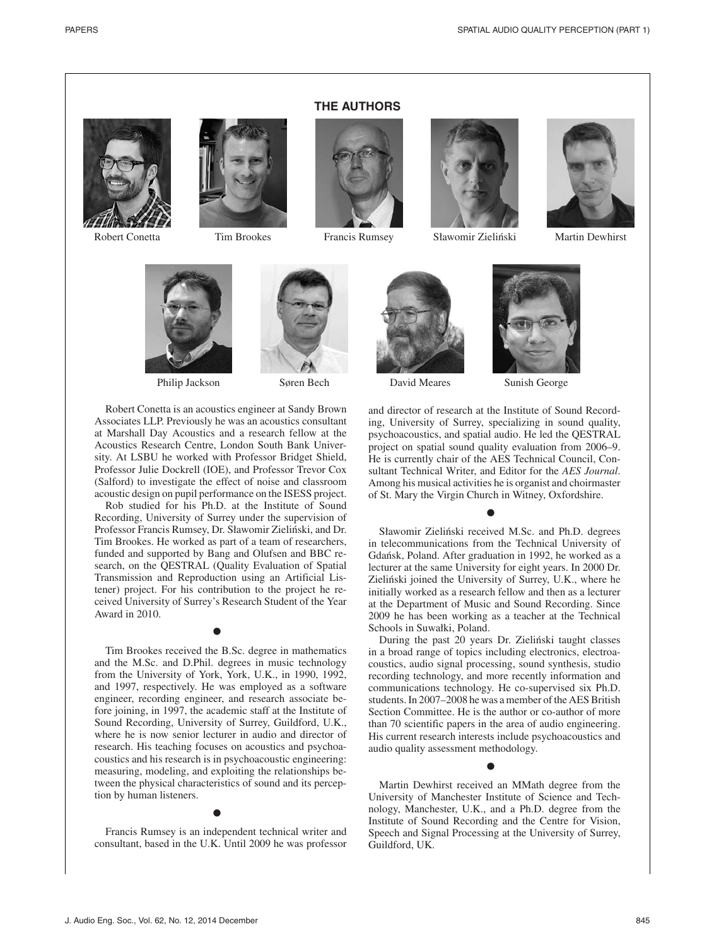

Robert Conetta Tim Brookes Francis Rumsey Sławomir Zieliński Martin Dewhirst













Philip Jackson Søren Bech David Meares Sunish George







and director of research at the Institute of Sound Recording, University of Surrey, specializing in sound quality, psychoacoustics, and spatial audio. He led the QESTRAL project on spatial sound quality evaluation from 2006–9. He is currently chair of the AES Technical Council, Consultant Technical Writer, and Editor for the *AES Journal*. Among his musical activities he is organist and choirmaster of St. Mary the Virgin Church in Witney, Oxfordshire.

-

Sławomir Zieliński received M.Sc. and Ph.D. degrees in telecommunications from the Technical University of Gdansk, Poland. After graduation in 1992, he worked as a ´ lecturer at the same University for eight years. In 2000 Dr. Zielinski joined the University of Surrey, U.K., where he ´ initially worked as a research fellow and then as a lecturer at the Department of Music and Sound Recording. Since 2009 he has been working as a teacher at the Technical Schools in Suwałki, Poland.

During the past 20 years Dr. Zieliński taught classes in a broad range of topics including electronics, electroacoustics, audio signal processing, sound synthesis, studio recording technology, and more recently information and communications technology. He co-supervised six Ph.D. students. In 2007–2008 he was a member of the AES British Section Committee. He is the author or co-author of more than 70 scientific papers in the area of audio engineering. His current research interests include psychoacoustics and audio quality assessment methodology.

# -

Martin Dewhirst received an MMath degree from the University of Manchester Institute of Science and Technology, Manchester, U.K., and a Ph.D. degree from the Institute of Sound Recording and the Centre for Vision, Speech and Signal Processing at the University of Surrey, Guildford, UK.

Robert Conetta is an acoustics engineer at Sandy Brown Associates LLP. Previously he was an acoustics consultant at Marshall Day Acoustics and a research fellow at the Acoustics Research Centre, London South Bank University. At LSBU he worked with Professor Bridget Shield, Professor Julie Dockrell (IOE), and Professor Trevor Cox (Salford) to investigate the effect of noise and classroom acoustic design on pupil performance on the ISESS project.

Rob studied for his Ph.D. at the Institute of Sound Recording, University of Surrey under the supervision of Professor Francis Rumsey, Dr. Sławomir Zieliński, and Dr. Tim Brookes. He worked as part of a team of researchers, funded and supported by Bang and Olufsen and BBC research, on the QESTRAL (Quality Evaluation of Spatial Transmission and Reproduction using an Artificial Listener) project. For his contribution to the project he received University of Surrey's Research Student of the Year Award in 2010. -

Tim Brookes received the B.Sc. degree in mathematics and the M.Sc. and D.Phil. degrees in music technology from the University of York, York, U.K., in 1990, 1992, and 1997, respectively. He was employed as a software engineer, recording engineer, and research associate before joining, in 1997, the academic staff at the Institute of Sound Recording, University of Surrey, Guildford, U.K., where he is now senior lecturer in audio and director of research. His teaching focuses on acoustics and psychoacoustics and his research is in psychoacoustic engineering: measuring, modeling, and exploiting the relationships between the physical characteristics of sound and its perception by human listeners.

# -

Francis Rumsey is an independent technical writer and consultant, based in the U.K. Until 2009 he was professor